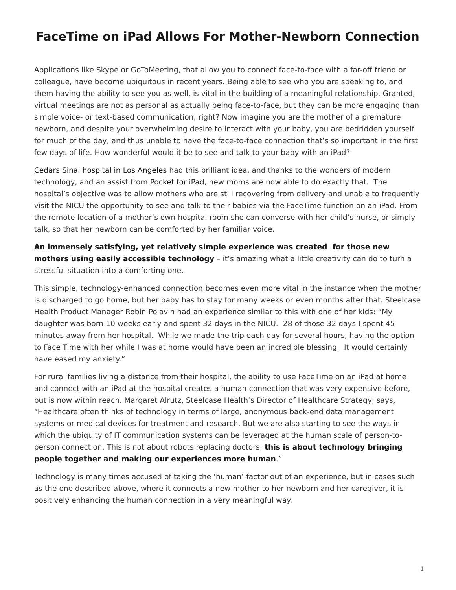## <span id="page-0-0"></span>**FaceTime on iPad Allows For Mother-Newborn Connection**

Applications like Skype or GoToMeeting, that allow you to connect face-to-face with a far-off friend or colleague, have become ubiquitous in recent years. Being able to see who you are speaking to, and them having the ability to see you as well, is vital in the building of a meaningful relationship. Granted, virtual meetings are not as personal as actually being face-to-face, but they can be more engaging than simple voice- or text-based communication, right? Now imagine you are the mother of a premature newborn, and despite your overwhelming desire to interact with your baby, you are bedridden yourself for much of the day, and thus unable to have the face-to-face connection that's so important in the first few days of life. How wonderful would it be to see and talk to your baby with an iPad?

[Cedars Sinai hospital in Los Angeles](http://cedars-sinai.edu/index.aspx) had this brilliant idea, and thanks to the wonders of modern technology, and an assist from [Pocket for iPad](https://www.steelcase.com/products/tables/pocket/), new moms are now able to do exactly that. The hospital's objective was to allow mothers who are still recovering from delivery and unable to frequently visit the NICU the opportunity to see and talk to their babies via the FaceTime function on an iPad. From the remote location of a mother's own hospital room she can converse with her child's nurse, or simply talk, so that her newborn can be comforted by her familiar voice.

**An immensely satisfying, yet relatively simple experience was created for those new mothers using easily accessible technology** – it's amazing what a little creativity can do to turn a stressful situation into a comforting one.

This simple, technology-enhanced connection becomes even more vital in the instance when the mother is discharged to go home, but her baby has to stay for many weeks or even months after that. Steelcase Health Product Manager Robin Polavin had an experience similar to this with one of her kids: "My daughter was born 10 weeks early and spent 32 days in the NICU. 28 of those 32 days I spent 45 minutes away from her hospital. While we made the trip each day for several hours, having the option to Face Time with her while I was at home would have been an incredible blessing. It would certainly have eased my anxiety."

For rural families living a distance from their hospital, the ability to use FaceTime on an iPad at home and connect with an iPad at the hospital creates a human connection that was very expensive before, but is now within reach. Margaret Alrutz, Steelcase Health's Director of Healthcare Strategy, says, "Healthcare often thinks of technology in terms of large, anonymous back-end data management systems or medical devices for treatment and research. But we are also starting to see the ways in which the ubiquity of IT communication systems can be leveraged at the human scale of person-toperson connection. This is not about robots replacing doctors; **this is about technology bringing people together and making our experiences more human**."

Technology is many times accused of taking the 'human' factor out of an experience, but in cases such as the one described above, where it connects a new mother to her newborn and her caregiver, it is positively enhancing the human connection in a very meaningful way.